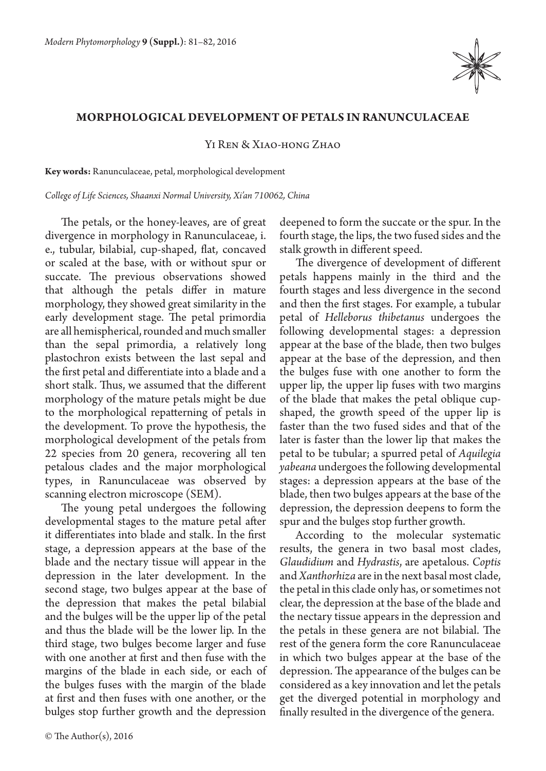

## **Morphological development of petals in Ranunculaceae**

Yi Ren & Xiao-hong Zhao

**Key words:** Ranunculaceae, petal, morphological development

*College of Life Sciences, Shaanxi Normal University, Xi'an 710062, China*

The petals, or the honey-leaves, are of great divergence in morphology in Ranunculaceae, i. e., tubular, bilabial, cup-shaped, flat, concaved or scaled at the base, with or without spur or succate. The previous observations showed that although the petals differ in mature morphology, they showed great similarity in the early development stage. The petal primordia are all hemispherical, rounded and much smaller than the sepal primordia, a relatively long plastochron exists between the last sepal and the first petal and differentiate into a blade and a short stalk. Thus, we assumed that the different morphology of the mature petals might be due to the morphological repatterning of petals in the development. To prove the hypothesis, the morphological development of the petals from 22 species from 20 genera, recovering all ten petalous clades and the major morphological types, in Ranunculaceae was observed by scanning electron microscope (SEM).

The young petal undergoes the following developmental stages to the mature petal after it differentiates into blade and stalk. In the first stage, a depression appears at the base of the blade and the nectary tissue will appear in the depression in the later development. In the second stage, two bulges appear at the base of the depression that makes the petal bilabial and the bulges will be the upper lip of the petal and thus the blade will be the lower lip. In the third stage, two bulges become larger and fuse with one another at first and then fuse with the margins of the blade in each side, or each of the bulges fuses with the margin of the blade at first and then fuses with one another, or the bulges stop further growth and the depression deepened to form the succate or the spur. In the fourth stage, the lips, the two fused sides and the stalk growth in different speed.

The divergence of development of different petals happens mainly in the third and the fourth stages and less divergence in the second and then the first stages. For example, a tubular petal of *Helleborus thibetanus* undergoes the following developmental stages: a depression appear at the base of the blade, then two bulges appear at the base of the depression, and then the bulges fuse with one another to form the upper lip, the upper lip fuses with two margins of the blade that makes the petal oblique cupshaped, the growth speed of the upper lip is faster than the two fused sides and that of the later is faster than the lower lip that makes the petal to be tubular; a spurred petal of *Aquilegia yabeana* undergoes the following developmental stages: a depression appears at the base of the blade, then two bulges appears at the base of the depression, the depression deepens to form the spur and the bulges stop further growth.

According to the molecular systematic results, the genera in two basal most clades, *Glaudidium* and *Hydrastis*, are apetalous. *Coptis* and *Xanthorhiza* are in the next basal most clade, the petal in this clade only has, or sometimes not clear, the depression at the base of the blade and the nectary tissue appears in the depression and the petals in these genera are not bilabial. The rest of the genera form the core Ranunculaceae in which two bulges appear at the base of the depression. The appearance of the bulges can be considered as a key innovation and let the petals get the diverged potential in morphology and finally resulted in the divergence of the genera.